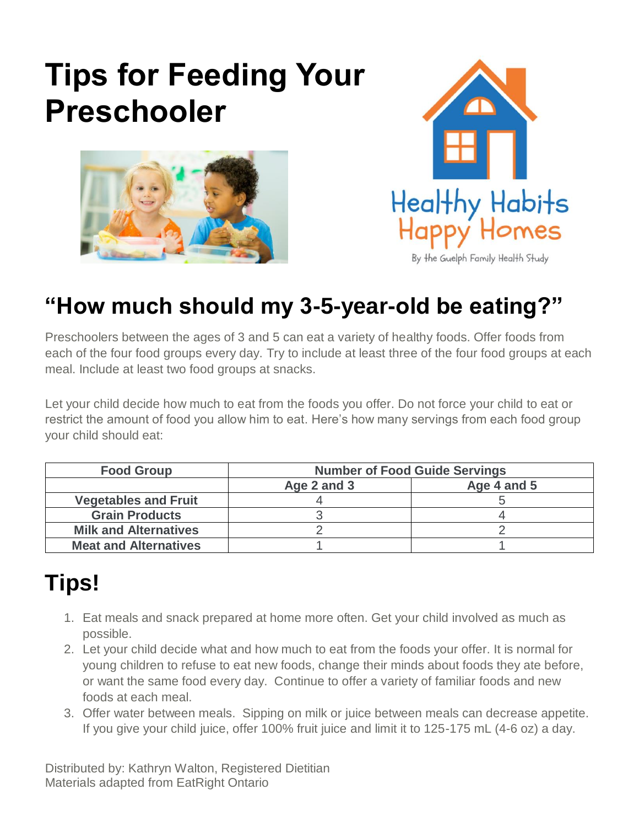# **Tips for Feeding Your Preschooler**





By the Guelph Family Health Study

# **"How much should my 3-5-year-old be eating?"**

Preschoolers between the ages of 3 and 5 can eat a variety of healthy foods. Offer foods from each of the four food groups every day. Try to include at least three of the four food groups at each meal. Include at least two food groups at snacks.

Let your child decide how much to eat from the foods you offer. Do not force your child to eat or restrict the amount of food you allow him to eat. Here's how many servings from each food group your child should eat:

| <b>Food Group</b>            | <b>Number of Food Guide Servings</b> |             |
|------------------------------|--------------------------------------|-------------|
|                              | Age 2 and 3                          | Age 4 and 5 |
| <b>Vegetables and Fruit</b>  |                                      |             |
| <b>Grain Products</b>        |                                      |             |
| <b>Milk and Alternatives</b> |                                      |             |
| <b>Meat and Alternatives</b> |                                      |             |

## **Tips!**

- 1. Eat meals and snack prepared at home more often. Get your child involved as much as possible.
- 2. Let your child decide what and how much to eat from the foods your offer. It is normal for young children to refuse to eat new foods, change their minds about foods they ate before, or want the same food every day. Continue to offer a variety of familiar foods and new foods at each meal.
- 3. Offer water between meals. Sipping on milk or juice between meals can decrease appetite. If you give your child juice, offer 100% fruit juice and limit it to 125-175 mL (4-6 oz) a day.

Distributed by: Kathryn Walton, Registered Dietitian Materials adapted from EatRight Ontario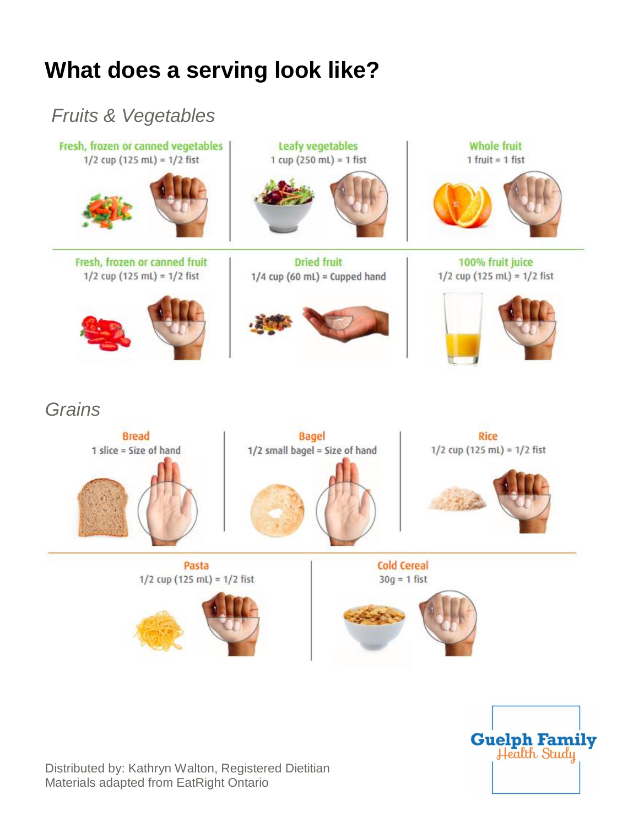## **What does a serving look like?**





Distributed by: Kathryn Walton, Registered Dietitian Materials adapted from EatRight Ontario